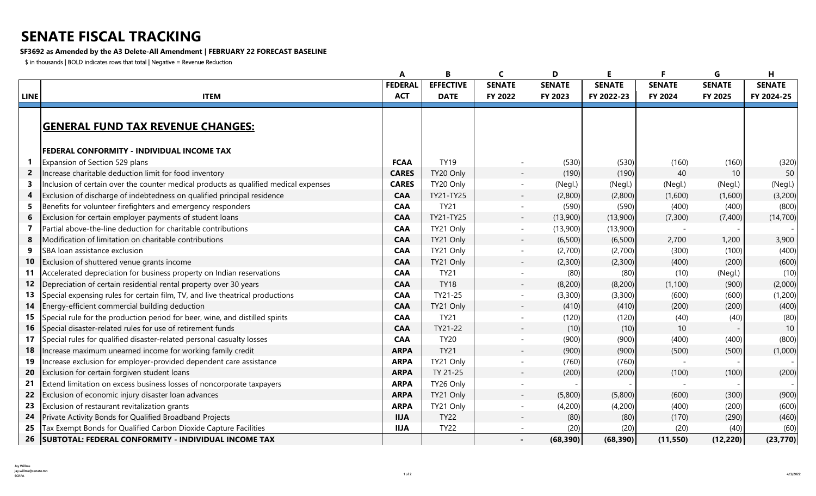## **SENATE FISCAL TRACKING**

## **SF3692 as Amended by the A3 Delete-All Amendment | FEBRUARY 22 FORECAST BASELINE**

\$ in thousands | BOLD indicates rows that total | Negative = Revenue Reduction

|              |                                                                                      |                | B                | C                        | D             | E.            | F             | G             | н             |
|--------------|--------------------------------------------------------------------------------------|----------------|------------------|--------------------------|---------------|---------------|---------------|---------------|---------------|
|              |                                                                                      | <b>FEDERAL</b> | <b>EFFECTIVE</b> | <b>SENATE</b>            | <b>SENATE</b> | <b>SENATE</b> | <b>SENATE</b> | <b>SENATE</b> | <b>SENATE</b> |
| <b>LINE</b>  | <b>ITEM</b>                                                                          | <b>ACT</b>     | <b>DATE</b>      | FY 2022                  | FY 2023       | FY 2022-23    | FY 2024       | FY 2025       | FY 2024-25    |
|              |                                                                                      |                |                  |                          |               |               |               |               |               |
|              | <b>GENERAL FUND TAX REVENUE CHANGES:</b>                                             |                |                  |                          |               |               |               |               |               |
|              | <b>FEDERAL CONFORMITY - INDIVIDUAL INCOME TAX</b>                                    |                |                  |                          |               |               |               |               |               |
|              | Expansion of Section 529 plans                                                       | <b>FCAA</b>    | <b>TY19</b>      |                          | (530)         | (530)         | (160)         | (160)         | (320)         |
| $\mathbf{2}$ | Increase charitable deduction limit for food inventory                               | <b>CARES</b>   | TY20 Only        |                          | (190)         | (190)         | 40            | 10            | 50            |
| 3            | Inclusion of certain over the counter medical products as qualified medical expenses | <b>CARES</b>   | TY20 Only        |                          | (Negl.)       | (Negl.)       | (Negl.)       | (Negl.)       | (Negl.)       |
| 4            | Exclusion of discharge of indebtedness on qualified principal residence              | <b>CAA</b>     | TY21-TY25        |                          | (2,800)       | (2,800)       | (1,600)       | (1,600)       | (3,200)       |
|              | Benefits for volunteer firefighters and emergency responders                         | <b>CAA</b>     | <b>TY21</b>      |                          | (590)         | (590)         | (400)         | (400)         | (800)         |
|              | Exclusion for certain employer payments of student loans                             | <b>CAA</b>     | TY21-TY25        |                          | (13,900)      | (13,900)      | (7,300)       | (7,400)       | (14, 700)     |
| 7            | Partial above-the-line deduction for charitable contributions                        | <b>CAA</b>     | TY21 Only        |                          | (13,900)      | (13,900)      |               |               |               |
| 8            | Modification of limitation on charitable contributions                               | <b>CAA</b>     | TY21 Only        |                          | (6,500)       | (6,500)       | 2,700         | 1,200         | 3,900         |
| 9            | SBA loan assistance exclusion                                                        | <b>CAA</b>     | TY21 Only        |                          | (2,700)       | (2,700)       | (300)         | (100)         | (400)         |
| 10           | Exclusion of shuttered venue grants income                                           | <b>CAA</b>     | TY21 Only        | $\overline{\phantom{a}}$ | (2,300)       | (2,300)       | (400)         | (200)         | (600)         |
| 11           | Accelerated depreciation for business property on Indian reservations                | <b>CAA</b>     | <b>TY21</b>      | $\sim$                   | (80)          | (80)          | (10)          | (Negl.)       | (10)          |
| 12           | Depreciation of certain residential rental property over 30 years                    | <b>CAA</b>     | <b>TY18</b>      | $\sim$                   | (8,200)       | (8,200)       | (1, 100)      | (900)         | (2,000)       |
| 13           | Special expensing rules for certain film, TV, and live theatrical productions        | <b>CAA</b>     | TY21-25          |                          | (3,300)       | (3,300)       | (600)         | (600)         | (1,200)       |
| 14           | Energy-efficient commercial building deduction                                       | <b>CAA</b>     | TY21 Only        |                          | (410)         | (410)         | (200)         | (200)         | (400)         |
| 15           | Special rule for the production period for beer, wine, and distilled spirits         | <b>CAA</b>     | <b>TY21</b>      |                          | (120)         | (120)         | (40)          | (40)          | (80)          |
| 16           | Special disaster-related rules for use of retirement funds                           | <b>CAA</b>     | TY21-22          | $\overline{\phantom{a}}$ | (10)          | (10)          | 10            |               | 10            |
| 17           | Special rules for qualified disaster-related personal casualty losses                | <b>CAA</b>     | <b>TY20</b>      |                          | (900)         | (900)         | (400)         | (400)         | (800)         |
| 18           | Increase maximum unearned income for working family credit                           | <b>ARPA</b>    | <b>TY21</b>      |                          | (900)         | (900)         | (500)         | (500)         | (1,000)       |
| 19           | Increase exclusion for employer-provided dependent care assistance                   | <b>ARPA</b>    | TY21 Only        | $\sim$                   | (760)         | (760)         |               |               |               |
| 20           | Exclusion for certain forgiven student loans                                         | <b>ARPA</b>    | TY 21-25         | $\overline{\phantom{a}}$ | (200)         | (200)         | (100)         | (100)         | (200)         |
| 21           | Extend limitation on excess business losses of noncorporate taxpayers                | <b>ARPA</b>    | TY26 Only        |                          |               |               |               |               |               |
| 22           | Exclusion of economic injury disaster loan advances                                  | <b>ARPA</b>    | TY21 Only        |                          | (5,800)       | (5,800)       | (600)         | (300)         | (900)         |
| 23           | Exclusion of restaurant revitalization grants                                        | <b>ARPA</b>    | TY21 Only        | $\sim$                   | (4,200)       | (4,200)       | (400)         | (200)         | (600)         |
| 24           | Private Activity Bonds for Qualified Broadband Projects                              | <b>IIJA</b>    | <b>TY22</b>      |                          | (80)          | (80)          | (170)         | (290)         | (460)         |
| 25           | Tax Exempt Bonds for Qualified Carbon Dioxide Capture Facilities                     | <b>IIJA</b>    | <b>TY22</b>      |                          | (20)          | (20)          | (20)          | (40)          | (60)          |
|              | 26   SUBTOTAL: FEDERAL CONFORMITY - INDIVIDUAL INCOME TAX                            |                |                  |                          | (68, 390)     | (68, 390)     | (11, 550)     | (12, 220)     | (23, 770)     |